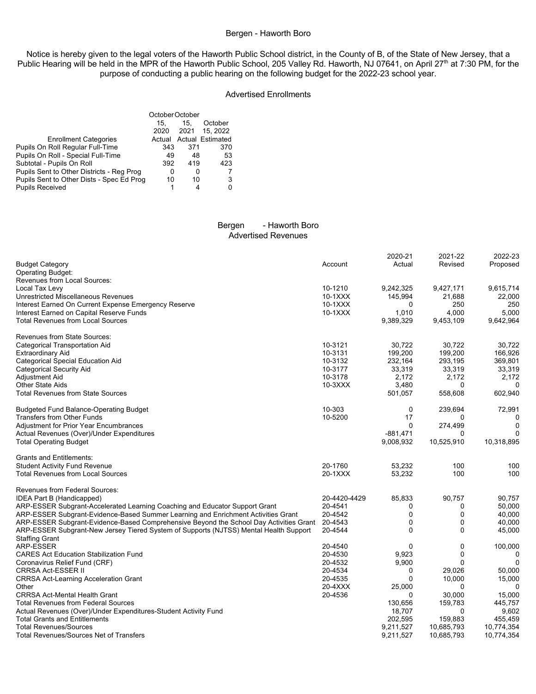## Bergen - Haworth Boro

Notice is hereby given to the legal voters of the Haworth Public School district, in the County of B, of the State of New Jersey, that a Public Hearing will be held in the MPR of the Haworth Public School, 205 Valley Rd. Haworth, NJ 07641, on April 27<sup>th</sup> at 7:30 PM, for the purpose of conducting a public hearing on the following budget for the 2022-23 school year.

### Advertised Enrollments

|                                           | October October |      |                         |  |
|-------------------------------------------|-----------------|------|-------------------------|--|
|                                           | 15.             | 15.  | October                 |  |
|                                           | 2020            | 2021 | 15, 2022                |  |
| <b>Enrollment Categories</b>              |                 |      | Actual Actual Estimated |  |
| Pupils On Roll Regular Full-Time          | 343             | 371  | 370                     |  |
| Pupils On Roll - Special Full-Time        | 49              | 48   | 53                      |  |
| Subtotal - Pupils On Roll                 | 392             | 419  | 423                     |  |
| Pupils Sent to Other Districts - Reg Prog | 0               | 0    |                         |  |
| Pupils Sent to Other Dists - Spec Ed Prog | 10              | 10   | 3                       |  |
| <b>Pupils Received</b>                    |                 | 4    |                         |  |

### Bergen - Haworth Boro Advertised Revenues

|                                                                                        |              | 2020-21     | 2021-22      | 2022-23     |
|----------------------------------------------------------------------------------------|--------------|-------------|--------------|-------------|
| <b>Budget Category</b>                                                                 | Account      | Actual      | Revised      | Proposed    |
| Operating Budget:                                                                      |              |             |              |             |
| Revenues from Local Sources:                                                           |              |             |              |             |
| Local Tax Levy                                                                         | 10-1210      | 9,242,325   | 9,427,171    | 9,615,714   |
| Unrestricted Miscellaneous Revenues                                                    | 10-1XXX      | 145,994     | 21,688       | 22,000      |
| Interest Earned On Current Expense Emergency Reserve                                   | $10-1XXX$    | $\Omega$    | 250          | 250         |
| Interest Earned on Capital Reserve Funds                                               | 10-1XXX      | 1,010       | 4,000        | 5,000       |
| <b>Total Revenues from Local Sources</b>                                               |              | 9,389,329   | 9,453,109    | 9,642,964   |
|                                                                                        |              |             |              |             |
| <b>Revenues from State Sources:</b>                                                    |              |             |              |             |
| <b>Categorical Transportation Aid</b>                                                  | 10-3121      | 30,722      | 30,722       | 30,722      |
| <b>Extraordinary Aid</b>                                                               | 10-3131      | 199,200     | 199,200      | 166,926     |
| Categorical Special Education Aid                                                      | 10-3132      | 232,164     | 293,195      | 369,801     |
| <b>Categorical Security Aid</b>                                                        | 10-3177      | 33,319      | 33,319       | 33,319      |
| Adjustment Aid                                                                         | 10-3178      | 2.172       | 2,172        | 2,172       |
| Other State Aids                                                                       | 10-3XXX      | 3,480       | 0            | $\Omega$    |
| <b>Total Revenues from State Sources</b>                                               |              | 501,057     | 558,608      | 602,940     |
| <b>Budgeted Fund Balance-Operating Budget</b>                                          | 10-303       | 0           | 239,694      | 72,991      |
| <b>Transfers from Other Funds</b>                                                      | 10-5200      | 17          | 0            | 0           |
| <b>Adjustment for Prior Year Encumbrances</b>                                          |              | $\Omega$    | 274,499      | $\mathbf 0$ |
| Actual Revenues (Over)/Under Expenditures                                              |              | $-881,471$  | 0            | $\Omega$    |
| <b>Total Operating Budget</b>                                                          |              | 9,008,932   | 10,525,910   | 10,318,895  |
|                                                                                        |              |             |              |             |
| <b>Grants and Entitlements:</b>                                                        |              |             |              |             |
| <b>Student Activity Fund Revenue</b>                                                   | 20-1760      | 53,232      | 100          | 100         |
| <b>Total Revenues from Local Sources</b>                                               | 20-1XXX      | 53,232      | 100          | 100         |
| <b>Revenues from Federal Sources:</b>                                                  |              |             |              |             |
| IDEA Part B (Handicapped)                                                              | 20-4420-4429 | 85,833      | 90,757       | 90,757      |
| ARP-ESSER Subgrant-Accelerated Learning Coaching and Educator Support Grant            | 20-4541      | 0           | 0            | 50,000      |
| ARP-ESSER Subgrant-Evidence-Based Summer Learning and Enrichment Activities Grant      | 20-4542      | 0           | $\mathbf 0$  | 40,000      |
| ARP-ESSER Subgrant-Evidence-Based Comprehensive Beyond the School Day Activities Grant | 20-4543      | 0           | $\mathbf 0$  | 40,000      |
| ARP-ESSER Subgrant-New Jersey Tiered System of Supports (NJTSS) Mental Health Support  | 20-4544      | $\Omega$    | $\mathbf{0}$ | 45,000      |
| <b>Staffing Grant</b>                                                                  |              |             |              |             |
| ARP-ESSER                                                                              | 20-4540      | $\Omega$    | 0            | 100,000     |
| <b>CARES Act Education Stabilization Fund</b>                                          | 20-4530      | 9,923       | $\mathbf 0$  | 0           |
| Coronavirus Relief Fund (CRF)                                                          | 20-4532      | 9,900       | $\Omega$     | $\Omega$    |
| <b>CRRSA Act-ESSER II</b>                                                              | 20-4534      | $\Omega$    | 29,026       | 50,000      |
| <b>CRRSA Act-Learning Acceleration Grant</b>                                           | 20-4535      | $\mathbf 0$ | 10,000       | 15,000      |
| Other                                                                                  | 20-4XXX      | 25,000      | $\Omega$     | $\Omega$    |
| <b>CRRSA Act-Mental Health Grant</b>                                                   | 20-4536      | $\Omega$    | 30.000       | 15,000      |
| <b>Total Revenues from Federal Sources</b>                                             |              | 130,656     | 159,783      | 445,757     |
| Actual Revenues (Over)/Under Expenditures-Student Activity Fund                        |              | 18,707      | 0            | 9,602       |
| <b>Total Grants and Entitlements</b>                                                   |              | 202,595     | 159,883      | 455,459     |
| <b>Total Revenues/Sources</b>                                                          |              | 9,211,527   | 10,685,793   | 10,774,354  |
| <b>Total Revenues/Sources Net of Transfers</b>                                         |              | 9,211,527   | 10,685,793   | 10,774,354  |
|                                                                                        |              |             |              |             |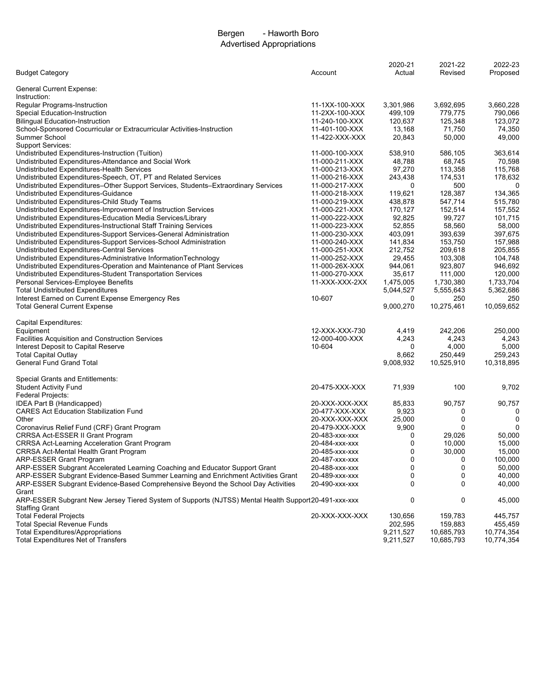# Bergen - Haworth Boro Advertised Appropriations

|                                                                                                     |                                  | 2020-21        | 2021-22    | 2022-23    |
|-----------------------------------------------------------------------------------------------------|----------------------------------|----------------|------------|------------|
| <b>Budget Category</b>                                                                              | Account                          | Actual         | Revised    | Proposed   |
|                                                                                                     |                                  |                |            |            |
| General Current Expense:                                                                            |                                  |                |            |            |
| Instruction:                                                                                        |                                  |                |            |            |
| <b>Regular Programs-Instruction</b>                                                                 | 11-1XX-100-XXX                   | 3,301,986      | 3,692,695  | 3,660,228  |
| Special Education-Instruction                                                                       | 11-2XX-100-XXX                   | 499,109        | 779,775    | 790,066    |
| <b>Bilingual Education-Instruction</b>                                                              | 11-240-100-XXX                   | 120,637        | 125,348    | 123.072    |
| School-Sponsored Cocurricular or Extracurricular Activities-Instruction                             | 11-401-100-XXX                   | 13,168         | 71,750     | 74,350     |
| Summer School                                                                                       | 11-422-XXX-XXX                   | 20,843         | 50,000     | 49,000     |
| <b>Support Services:</b>                                                                            |                                  |                |            |            |
| Undistributed Expenditures-Instruction (Tuition)                                                    | 11-000-100-XXX                   | 538,910        | 586,105    | 363,614    |
| Undistributed Expenditures-Attendance and Social Work                                               | 11-000-211-XXX                   | 48,788         | 68,745     | 70,598     |
| Undistributed Expenditures-Health Services                                                          | 11-000-213-XXX                   | 97,270         | 113,358    | 115,768    |
| Undistributed Expenditures-Speech, OT, PT and Related Services                                      | 11-000-216-XXX                   | 243,438        | 174,531    | 178,632    |
| Undistributed Expenditures-Other Support Services, Students-Extraordinary Services                  | 11-000-217-XXX                   | 0              | 500        | 0          |
| Undistributed Expenditures-Guidance                                                                 | 11-000-218-XXX                   | 119,621        | 128,387    | 134,365    |
| Undistributed Expenditures-Child Study Teams                                                        | 11-000-219-XXX                   | 438,878        | 547,714    | 515,780    |
| Undistributed Expenditures-Improvement of Instruction Services                                      | 11-000-221-XXX                   | 170,127        | 152,514    | 157,552    |
| Undistributed Expenditures-Education Media Services/Library                                         | 11-000-222-XXX                   | 92,825         | 99,727     | 101,715    |
| Undistributed Expenditures-Instructional Staff Training Services                                    | 11-000-223-XXX                   | 52,855         | 58,560     | 58,000     |
| Undistributed Expenditures-Support Services-General Administration                                  | 11-000-230-XXX                   | 403,091        | 393,639    | 397,675    |
| Undistributed Expenditures-Support Services-School Administration                                   | 11-000-240-XXX                   | 141,834        | 153,750    | 157,988    |
| Undistributed Expenditures-Central Services                                                         | 11-000-251-XXX                   | 212,752        | 209,618    | 205,855    |
| Undistributed Expenditures-Administrative InformationTechnology                                     | 11-000-252-XXX                   | 29,455         | 103,308    | 104,748    |
| Undistributed Expenditures-Operation and Maintenance of Plant Services                              | 11-000-26X-XXX                   | 944,061        | 923,807    | 946,692    |
| Undistributed Expenditures-Student Transportation Services                                          | 11-000-270-XXX                   | 35,617         | 111,000    | 120,000    |
| Personal Services-Employee Benefits                                                                 | 11-XXX-XXX-2XX                   |                | 1,730,380  | 1,733,704  |
|                                                                                                     |                                  | 1,475,005      |            |            |
| <b>Total Undistributed Expenditures</b>                                                             | 10-607                           | 5,044,527      | 5,555,643  | 5,362,686  |
| Interest Earned on Current Expense Emergency Res                                                    |                                  | 0              | 250        | 250        |
| <b>Total General Current Expense</b>                                                                |                                  | 9,000,270      | 10,275,461 | 10,059,652 |
|                                                                                                     |                                  |                |            |            |
| Capital Expenditures:                                                                               |                                  |                |            |            |
| Equipment                                                                                           | 12-XXX-XXX-730<br>12-000-400-XXX | 4,419<br>4,243 | 242,206    | 250,000    |
| <b>Facilities Acquisition and Construction Services</b>                                             |                                  |                | 4,243      | 4,243      |
| Interest Deposit to Capital Reserve                                                                 | 10-604                           | 0              | 4,000      | 5,000      |
| <b>Total Capital Outlay</b>                                                                         |                                  | 8,662          | 250,449    | 259,243    |
| <b>General Fund Grand Total</b>                                                                     |                                  | 9,008,932      | 10,525,910 | 10,318,895 |
|                                                                                                     |                                  |                |            |            |
| <b>Special Grants and Entitlements:</b>                                                             |                                  |                |            |            |
| <b>Student Activity Fund</b>                                                                        | 20-475-XXX-XXX                   | 71,939         | 100        | 9,702      |
| Federal Projects:                                                                                   |                                  |                |            |            |
| IDEA Part B (Handicapped)                                                                           | 20-XXX-XXX-XXX                   | 85,833         | 90,757     | 90,757     |
| <b>CARES Act Education Stabilization Fund</b>                                                       | 20-477-XXX-XXX                   | 9,923          | 0          | 0          |
| Other                                                                                               | 20-XXX-XXX-XXX                   | 25,000         | 0          | 0          |
| Coronavirus Relief Fund (CRF) Grant Program                                                         | 20-479-XXX-XXX                   | 9,900          | 0          | 0          |
| CRRSA Act-ESSER II Grant Program                                                                    | 20-483-xxx-xxx                   | 0              | 29,026     | 50,000     |
| <b>CRRSA Act-Learning Acceleration Grant Program</b>                                                | 20-484-xxx-xxx                   | 0              | 10,000     | 15,000     |
| CRRSA Act-Mental Health Grant Program                                                               | 20-485-xxx-xxx                   | 0              | 30,000     | 15,000     |
| <b>ARP-ESSER Grant Program</b>                                                                      | 20-487-xxx-xxx                   | 0              | 0          | 100,000    |
| ARP-ESSER Subgrant Accelerated Learning Coaching and Educator Support Grant                         | 20-488-xxx-xxx                   | 0              | 0          | 50,000     |
| ARP-ESSER Subgrant Evidence-Based Summer Learning and Enrichment Activities Grant                   | 20-489-xxx-xxx                   | 0              | 0          | 40,000     |
| ARP-ESSER Subgrant Evidence-Based Comprehensive Beyond the School Day Activities                    | 20-490-xxx-xxx                   | 0              | 0          | 40,000     |
| Grant                                                                                               |                                  |                |            |            |
| ARP-ESSER Subgrant New Jersey Tiered System of Supports (NJTSS) Mental Health Support20-491-xxx-xxx |                                  | 0              | 0          | 45,000     |
| <b>Staffing Grant</b>                                                                               |                                  |                |            |            |
| <b>Total Federal Projects</b>                                                                       | 20-XXX-XXX-XXX                   | 130,656        | 159,783    | 445,757    |
| <b>Total Special Revenue Funds</b>                                                                  |                                  | 202,595        | 159,883    | 455,459    |
| <b>Total Expenditures/Appropriations</b>                                                            |                                  | 9,211,527      | 10,685,793 | 10,774,354 |
| <b>Total Expenditures Net of Transfers</b>                                                          |                                  | 9,211,527      | 10,685,793 | 10,774,354 |